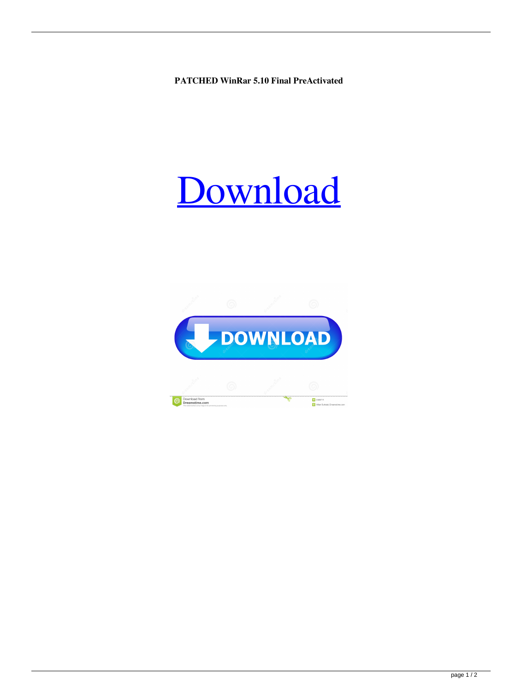**PATCHED WinRar 5.10 Final PreActivated**

## [Download](http://evacdir.com/ZG93bmxvYWR8UVoyTW1waU5YeDhNVFkxTWpjME1EZzJObng4TWpVM05IeDhLRTBwSUhKbFlXUXRZbXh2WnlCYlJtRnpkQ0JIUlU1ZA/bustling.UEFUQ0hFRCBXaW5SYXIgNS4xMCBGaW5hbCBQcmVBY3RpdmF0ZWQUEF/subaru/joan.restlessness.transforce/transform)